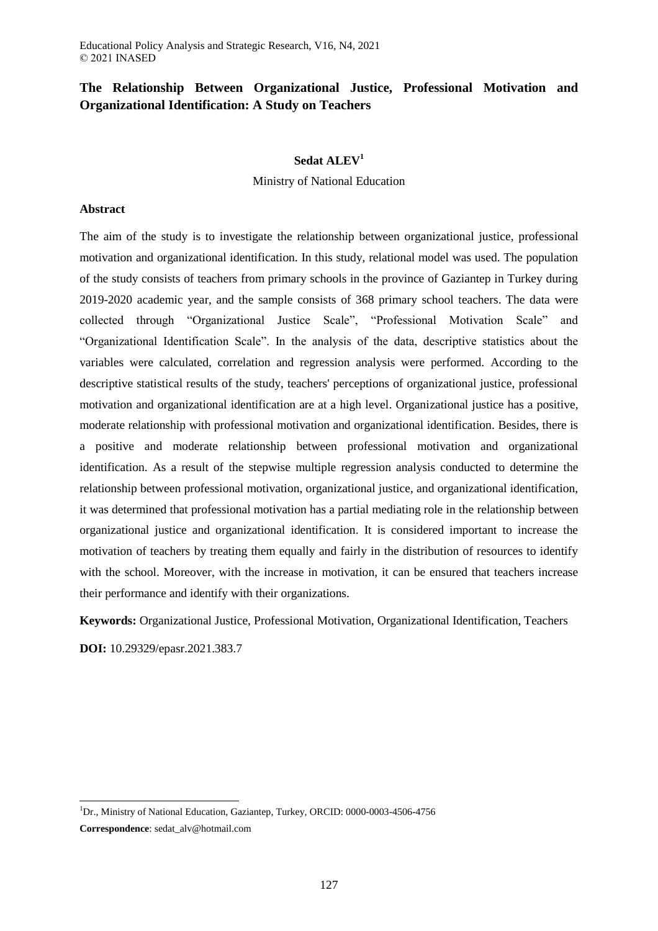# **The Relationship Between Organizational Justice, Professional Motivation and Organizational Identification: A Study on Teachers**

## **Sedat ALEV<sup>1</sup>**

Ministry of National Education

## **Abstract**

The aim of the study is to investigate the relationship between organizational justice, professional motivation and organizational identification. In this study, relational model was used. The population of the study consists of teachers from primary schools in the province of Gaziantep in Turkey during 2019-2020 academic year, and the sample consists of 368 primary school teachers. The data were collected through "Organizational Justice Scale", "Professional Motivation Scale" and "Organizational Identification Scale". In the analysis of the data, descriptive statistics about the variables were calculated, correlation and regression analysis were performed. According to the descriptive statistical results of the study, teachers' perceptions of organizational justice, professional motivation and organizational identification are at a high level. Organizational justice has a positive, moderate relationship with professional motivation and organizational identification. Besides, there is a positive and moderate relationship between professional motivation and organizational identification. As a result of the stepwise multiple regression analysis conducted to determine the relationship between professional motivation, organizational justice, and organizational identification, it was determined that professional motivation has a partial mediating role in the relationship between organizational justice and organizational identification. It is considered important to increase the motivation of teachers by treating them equally and fairly in the distribution of resources to identify with the school. Moreover, with the increase in motivation, it can be ensured that teachers increase their performance and identify with their organizations.

**Keywords:** Organizational Justice, Professional Motivation, Organizational Identification, Teachers **DOI:** 10.29329/epasr.2021.383.7

 $\overline{a}$ 

<sup>&</sup>lt;sup>1</sup>Dr., Ministry of National Education, Gaziantep, Turkey, ORCID: 0000-0003-4506-4756

**Correspondence**: sedat\_alv@hotmail.com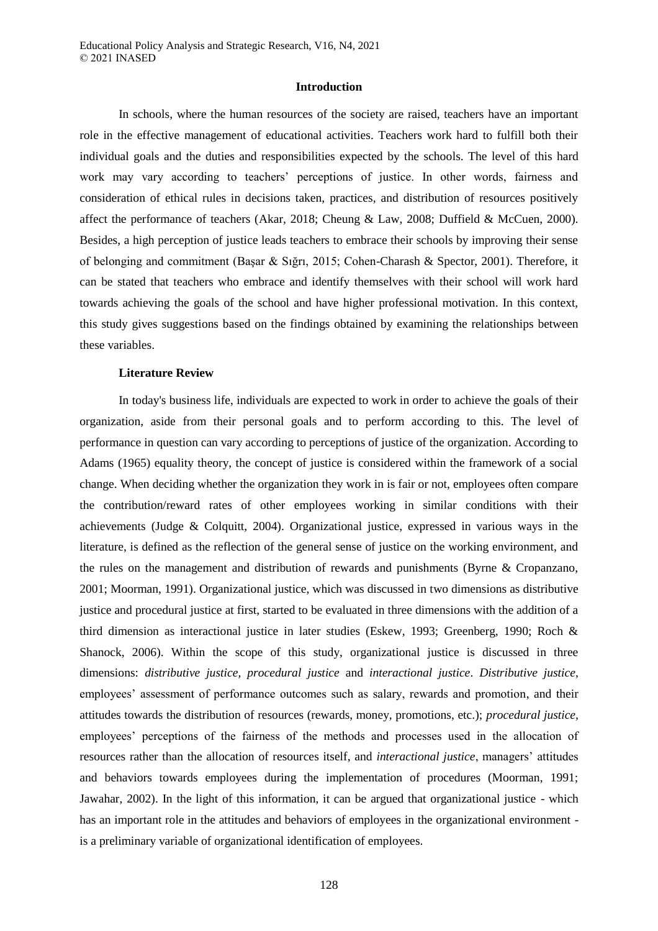#### **Introduction**

In schools, where the human resources of the society are raised, teachers have an important role in the effective management of educational activities. Teachers work hard to fulfill both their individual goals and the duties and responsibilities expected by the schools. The level of this hard work may vary according to teachers' perceptions of justice. In other words, fairness and consideration of ethical rules in decisions taken, practices, and distribution of resources positively affect the performance of teachers (Akar, 2018; Cheung & Law, 2008; Duffield & McCuen, 2000). Besides, a high perception of justice leads teachers to embrace their schools by improving their sense of belonging and commitment (Başar & Sığrı, 2015; Cohen-Charash & Spector, 2001). Therefore, it can be stated that teachers who embrace and identify themselves with their school will work hard towards achieving the goals of the school and have higher professional motivation. In this context, this study gives suggestions based on the findings obtained by examining the relationships between these variables.

## **Literature Review**

In today's business life, individuals are expected to work in order to achieve the goals of their organization, aside from their personal goals and to perform according to this. The level of performance in question can vary according to perceptions of justice of the organization. According to Adams (1965) equality theory, the concept of justice is considered within the framework of a social change. When deciding whether the organization they work in is fair or not, employees often compare the contribution/reward rates of other employees working in similar conditions with their achievements (Judge & Colquitt, 2004). Organizational justice, expressed in various ways in the literature, is defined as the reflection of the general sense of justice on the working environment, and the rules on the management and distribution of rewards and punishments (Byrne & Cropanzano, 2001; Moorman, 1991). Organizational justice, which was discussed in two dimensions as distributive justice and procedural justice at first, started to be evaluated in three dimensions with the addition of a third dimension as interactional justice in later studies (Eskew, 1993; Greenberg, 1990; Roch & Shanock, 2006). Within the scope of this study, organizational justice is discussed in three dimensions: *distributive justice, procedural justice* and *interactional justice*. *Distributive justice*, employees' assessment of performance outcomes such as salary, rewards and promotion, and their attitudes towards the distribution of resources (rewards, money, promotions, etc.); *procedural justice,*  employees' perceptions of the fairness of the methods and processes used in the allocation of resources rather than the allocation of resources itself, and *interactional justice*, managers' attitudes and behaviors towards employees during the implementation of procedures (Moorman, 1991; Jawahar, 2002). In the light of this information, it can be argued that organizational justice - which has an important role in the attitudes and behaviors of employees in the organizational environment is a preliminary variable of organizational identification of employees.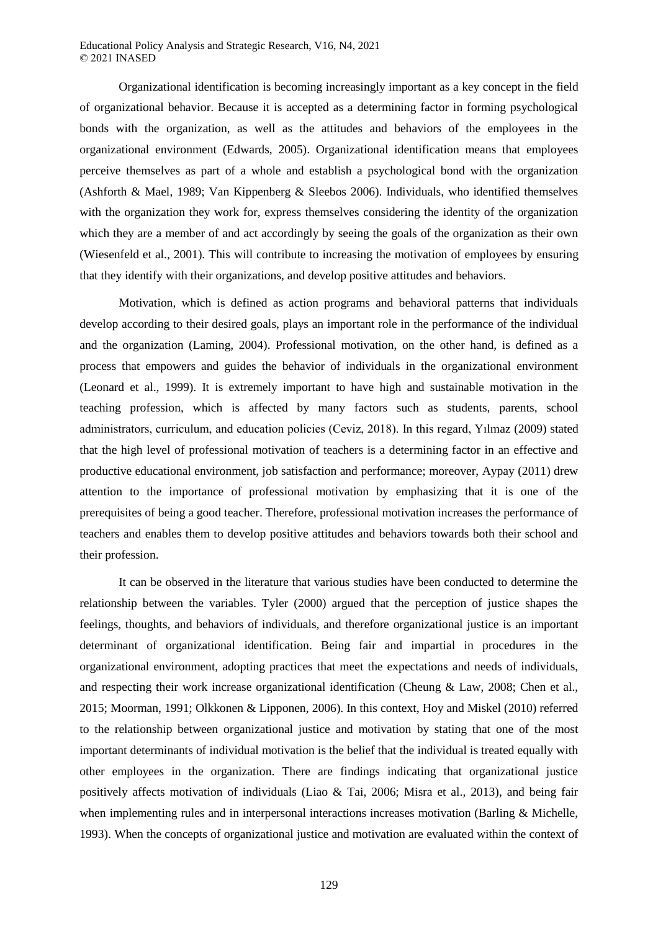Organizational identification is becoming increasingly important as a key concept in the field of organizational behavior. Because it is accepted as a determining factor in forming psychological bonds with the organization, as well as the attitudes and behaviors of the employees in the organizational environment (Edwards, 2005). Organizational identification means that employees perceive themselves as part of a whole and establish a psychological bond with the organization (Ashforth & Mael, 1989; Van Kippenberg & Sleebos 2006). Individuals, who identified themselves with the organization they work for, express themselves considering the identity of the organization which they are a member of and act accordingly by seeing the goals of the organization as their own (Wiesenfeld et al., 2001). This will contribute to increasing the motivation of employees by ensuring that they identify with their organizations, and develop positive attitudes and behaviors.

Motivation, which is defined as action programs and behavioral patterns that individuals develop according to their desired goals, plays an important role in the performance of the individual and the organization (Laming, 2004). Professional motivation, on the other hand, is defined as a process that empowers and guides the behavior of individuals in the organizational environment (Leonard et al., 1999). It is extremely important to have high and sustainable motivation in the teaching profession, which is affected by many factors such as students, parents, school administrators, curriculum, and education policies (Ceviz, 2018). In this regard, Yılmaz (2009) stated that the high level of professional motivation of teachers is a determining factor in an effective and productive educational environment, job satisfaction and performance; moreover, Aypay (2011) drew attention to the importance of professional motivation by emphasizing that it is one of the prerequisites of being a good teacher. Therefore, professional motivation increases the performance of teachers and enables them to develop positive attitudes and behaviors towards both their school and their profession.

It can be observed in the literature that various studies have been conducted to determine the relationship between the variables. Tyler (2000) argued that the perception of justice shapes the feelings, thoughts, and behaviors of individuals, and therefore organizational justice is an important determinant of organizational identification. Being fair and impartial in procedures in the organizational environment, adopting practices that meet the expectations and needs of individuals, and respecting their work increase organizational identification (Cheung & Law, 2008; Chen et al., 2015; Moorman, 1991; Olkkonen & Lipponen, 2006). In this context, Hoy and Miskel (2010) referred to the relationship between organizational justice and motivation by stating that one of the most important determinants of individual motivation is the belief that the individual is treated equally with other employees in the organization. There are findings indicating that organizational justice positively affects motivation of individuals (Liao & Tai, 2006; Misra et al., 2013), and being fair when implementing rules and in interpersonal interactions increases motivation (Barling & Michelle, 1993). When the concepts of organizational justice and motivation are evaluated within the context of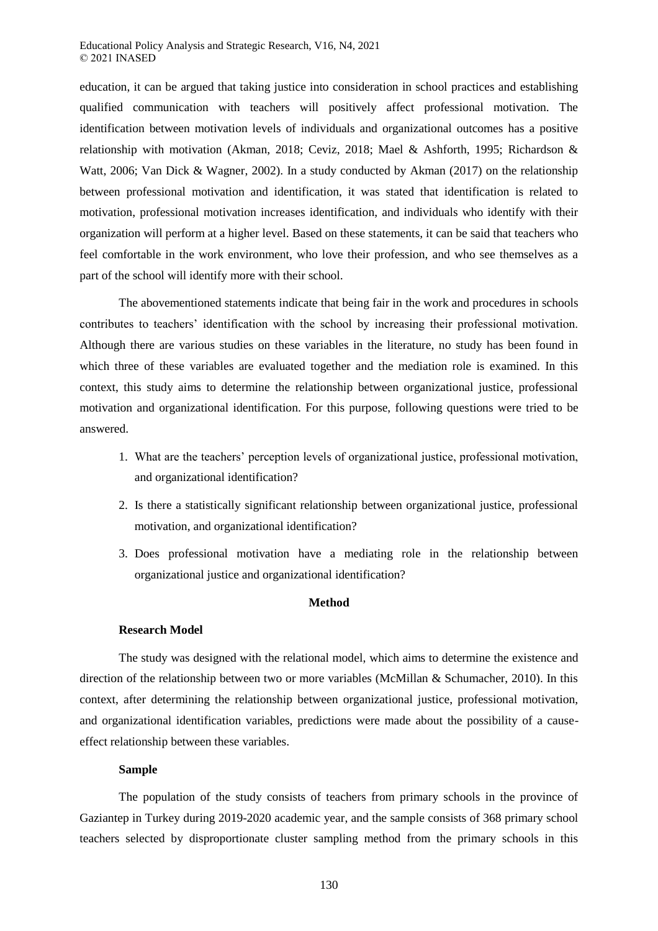education, it can be argued that taking justice into consideration in school practices and establishing qualified communication with teachers will positively affect professional motivation. The identification between motivation levels of individuals and organizational outcomes has a positive relationship with motivation (Akman, 2018; Ceviz, 2018; Mael & Ashforth, 1995; Richardson & Watt, 2006; Van Dick & Wagner, 2002). In a study conducted by Akman (2017) on the relationship between professional motivation and identification, it was stated that identification is related to motivation, professional motivation increases identification, and individuals who identify with their organization will perform at a higher level. Based on these statements, it can be said that teachers who feel comfortable in the work environment, who love their profession, and who see themselves as a part of the school will identify more with their school.

The abovementioned statements indicate that being fair in the work and procedures in schools contributes to teachers' identification with the school by increasing their professional motivation. Although there are various studies on these variables in the literature, no study has been found in which three of these variables are evaluated together and the mediation role is examined. In this context, this study aims to determine the relationship between organizational justice, professional motivation and organizational identification. For this purpose, following questions were tried to be answered.

- 1. What are the teachers' perception levels of organizational justice, professional motivation, and organizational identification?
- 2. Is there a statistically significant relationship between organizational justice, professional motivation, and organizational identification?
- 3. Does professional motivation have a mediating role in the relationship between organizational justice and organizational identification?

## **Method**

## **Research Model**

The study was designed with the relational model, which aims to determine the existence and direction of the relationship between two or more variables (McMillan & Schumacher, 2010). In this context, after determining the relationship between organizational justice, professional motivation, and organizational identification variables, predictions were made about the possibility of a causeeffect relationship between these variables.

## **Sample**

The population of the study consists of teachers from primary schools in the province of Gaziantep in Turkey during 2019-2020 academic year, and the sample consists of 368 primary school teachers selected by disproportionate cluster sampling method from the primary schools in this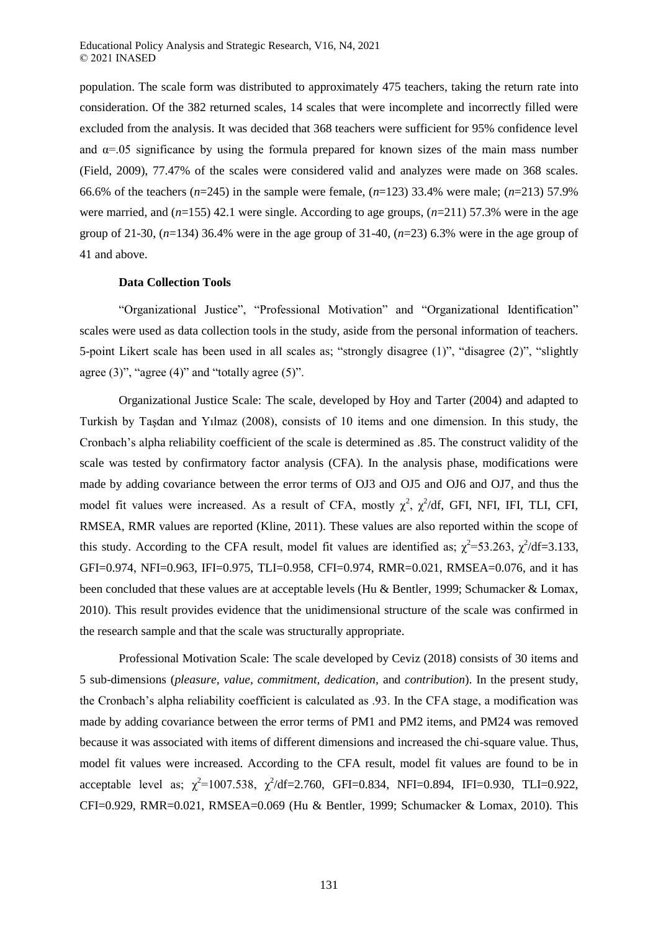population. The scale form was distributed to approximately 475 teachers, taking the return rate into consideration. Of the 382 returned scales, 14 scales that were incomplete and incorrectly filled were excluded from the analysis. It was decided that 368 teachers were sufficient for 95% confidence level and  $\alpha$ =.05 significance by using the formula prepared for known sizes of the main mass number (Field, 2009), 77.47% of the scales were considered valid and analyzes were made on 368 scales. 66.6% of the teachers (*n*=245) in the sample were female, (*n*=123) 33.4% were male; (*n*=213) 57.9% were married, and (*n*=155) 42.1 were single. According to age groups, (*n*=211) 57.3% were in the age group of 21-30,  $(n=134)$  36.4% were in the age group of 31-40,  $(n=23)$  6.3% were in the age group of 41 and above.

#### **Data Collection Tools**

"Organizational Justice", "Professional Motivation" and "Organizational Identification" scales were used as data collection tools in the study, aside from the personal information of teachers. 5-point Likert scale has been used in all scales as; "strongly disagree (1)", "disagree (2)", "slightly agree  $(3)$ ", "agree  $(4)$ " and "totally agree  $(5)$ ".

Organizational Justice Scale: The scale, developed by Hoy and Tarter (2004) and adapted to Turkish by Taşdan and Yılmaz (2008), consists of 10 items and one dimension. In this study, the Cronbach's alpha reliability coefficient of the scale is determined as .85. The construct validity of the scale was tested by confirmatory factor analysis (CFA). In the analysis phase, modifications were made by adding covariance between the error terms of OJ3 and OJ5 and OJ6 and OJ7, and thus the model fit values were increased. As a result of CFA, mostly  $\chi^2$ ,  $\chi^2/df$ , GFI, NFI, IFI, TLI, CFI, RMSEA, RMR values are reported (Kline, 2011). These values are also reported within the scope of this study. According to the CFA result, model fit values are identified as;  $\chi^2$ =53.263,  $\chi^2$ /df=3.133, GFI=0.974, NFI=0.963, IFI=0.975, TLI=0.958, CFI=0.974, RMR=0.021, RMSEA=0.076, and it has been concluded that these values are at acceptable levels (Hu & Bentler, 1999; Schumacker & Lomax, 2010). This result provides evidence that the unidimensional structure of the scale was confirmed in the research sample and that the scale was structurally appropriate.

Professional Motivation Scale: The scale developed by Ceviz (2018) consists of 30 items and 5 sub-dimensions (*pleasure, value, commitment, dedication,* and *contribution*). In the present study, the Cronbach's alpha reliability coefficient is calculated as .93. In the CFA stage, a modification was made by adding covariance between the error terms of PM1 and PM2 items, and PM24 was removed because it was associated with items of different dimensions and increased the chi-square value. Thus, model fit values were increased. According to the CFA result, model fit values are found to be in acceptable level as;  $\chi^2$ =1007.538,  $\chi^2$ /df=2.760, GFI=0.834, NFI=0.894, IFI=0.930, TLI=0.922, CFI=0.929, RMR=0.021, RMSEA=0.069 (Hu & Bentler, 1999; Schumacker & Lomax, 2010). This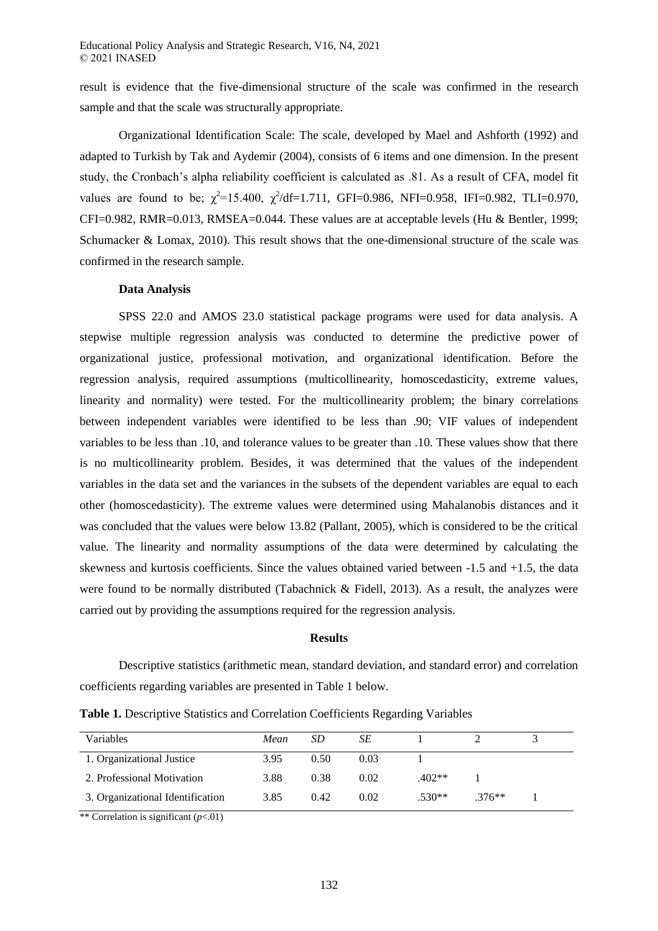result is evidence that the five-dimensional structure of the scale was confirmed in the research sample and that the scale was structurally appropriate.

Organizational Identification Scale: The scale, developed by Mael and Ashforth (1992) and adapted to Turkish by Tak and Aydemir (2004), consists of 6 items and one dimension. In the present study, the Cronbach's alpha reliability coefficient is calculated as .81. As a result of CFA, model fit values are found to be;  $\chi^2$ =15.400,  $\chi^2$ /df=1.711, GFI=0.986, NFI=0.958, IFI=0.982, TLI=0.970, CFI=0.982, RMR=0.013, RMSEA=0.044. These values are at acceptable levels (Hu & Bentler, 1999; Schumacker & Lomax, 2010). This result shows that the one-dimensional structure of the scale was confirmed in the research sample.

## **Data Analysis**

SPSS 22.0 and AMOS 23.0 statistical package programs were used for data analysis. A stepwise multiple regression analysis was conducted to determine the predictive power of organizational justice, professional motivation, and organizational identification. Before the regression analysis, required assumptions (multicollinearity, homoscedasticity, extreme values, linearity and normality) were tested. For the multicollinearity problem; the binary correlations between independent variables were identified to be less than .90; VIF values of independent variables to be less than .10, and tolerance values to be greater than .10. These values show that there is no multicollinearity problem. Besides, it was determined that the values of the independent variables in the data set and the variances in the subsets of the dependent variables are equal to each other (homoscedasticity). The extreme values were determined using Mahalanobis distances and it was concluded that the values were below 13.82 (Pallant, 2005), which is considered to be the critical value. The linearity and normality assumptions of the data were determined by calculating the skewness and kurtosis coefficients. Since the values obtained varied between -1.5 and +1.5, the data were found to be normally distributed (Tabachnick & Fidell, 2013). As a result, the analyzes were carried out by providing the assumptions required for the regression analysis.

## **Results**

Descriptive statistics (arithmetic mean, standard deviation, and standard error) and correlation coefficients regarding variables are presented in Table 1 below.

| Table 1. Descriptive Statistics and Correlation Coefficients Regarding Variables |  |  |  |  |
|----------------------------------------------------------------------------------|--|--|--|--|
|----------------------------------------------------------------------------------|--|--|--|--|

| Variables                        | Mean | SD   | SЕ   |          |          |  |
|----------------------------------|------|------|------|----------|----------|--|
| 1. Organizational Justice        | 3.95 | 0.50 | 0.03 |          |          |  |
| 2. Professional Motivation       | 3.88 | 0.38 | 0.02 | $.402**$ |          |  |
| 3. Organizational Identification | 3.85 | 0.42 | 0.02 | $.530**$ | $.376**$ |  |

\*\* Correlation is significant (*p*<.01)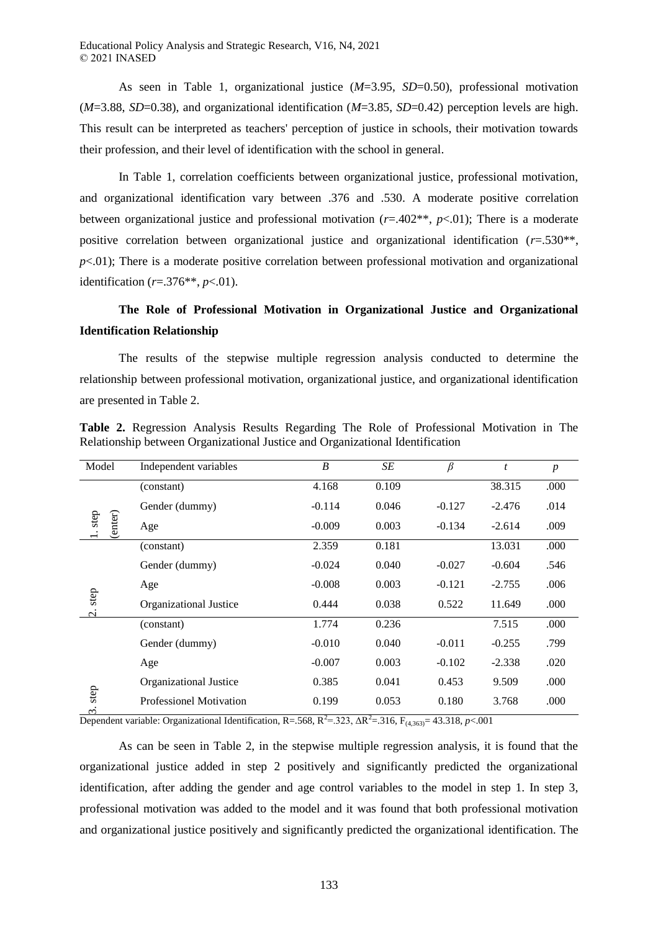As seen in Table 1, organizational justice (*M*=3.95, *SD*=0.50), professional motivation  $(M=3.88, SD=0.38)$ , and organizational identification  $(M=3.85, SD=0.42)$  perception levels are high. This result can be interpreted as teachers' perception of justice in schools, their motivation towards their profession, and their level of identification with the school in general.

In Table 1, correlation coefficients between organizational justice, professional motivation, and organizational identification vary between .376 and .530. A moderate positive correlation between organizational justice and professional motivation (*r*=.402\*\*, *p*<.01); There is a moderate positive correlation between organizational justice and organizational identification (*r*=.530\*\*,  $p$ <.01); There is a moderate positive correlation between professional motivation and organizational identification (*r*=.376\*\*, *p*<.01).

# **The Role of Professional Motivation in Organizational Justice and Organizational Identification Relationship**

The results of the stepwise multiple regression analysis conducted to determine the relationship between professional motivation, organizational justice, and organizational identification are presented in Table 2.

| Model                         | Independent variables          | $\boldsymbol{B}$ | SE    | $\beta$  | t        | $\boldsymbol{p}$ |
|-------------------------------|--------------------------------|------------------|-------|----------|----------|------------------|
|                               | (constant)                     | 4.168            | 0.109 |          | 38.315   | .000             |
| $1.\,\mathrm{step}$<br>enter) | Gender (dummy)                 | $-0.114$         | 0.046 | $-0.127$ | $-2.476$ | .014             |
|                               | Age                            | $-0.009$         | 0.003 | $-0.134$ | $-2.614$ | .009             |
| step<br>$\dot{\circ}$         | (constant)                     | 2.359            | 0.181 |          | 13.031   | .000             |
|                               | Gender (dummy)                 | $-0.024$         | 0.040 | $-0.027$ | $-0.604$ | .546             |
|                               | Age                            | $-0.008$         | 0.003 | $-0.121$ | $-2.755$ | .006             |
|                               | Organizational Justice         | 0.444            | 0.038 | 0.522    | 11.649   | .000             |
|                               | (constant)                     | 1.774            | 0.236 |          | 7.515    | .000             |
|                               | Gender (dummy)                 | $-0.010$         | 0.040 | $-0.011$ | $-0.255$ | .799             |
|                               | Age                            | $-0.007$         | 0.003 | $-0.102$ | $-2.338$ | .020             |
|                               | Organizational Justice         | 0.385            | 0.041 | 0.453    | 9.509    | .000             |
| step<br>$\infty$              | <b>Professionel Motivation</b> | 0.199            | 0.053 | 0.180    | 3.768    | .000             |

**Table 2.** Regression Analysis Results Regarding The Role of Professional Motivation in The Relationship between Organizational Justice and Organizational Identification

Dependent variable: Organizational Identification, R=.568, R<sup>2</sup>=.323, ΔR<sup>2</sup>=.316, F<sub>(4,363)</sub>= 43.318, *p*<.001

As can be seen in Table 2, in the stepwise multiple regression analysis, it is found that the organizational justice added in step 2 positively and significantly predicted the organizational identification, after adding the gender and age control variables to the model in step 1. In step 3, professional motivation was added to the model and it was found that both professional motivation and organizational justice positively and significantly predicted the organizational identification. The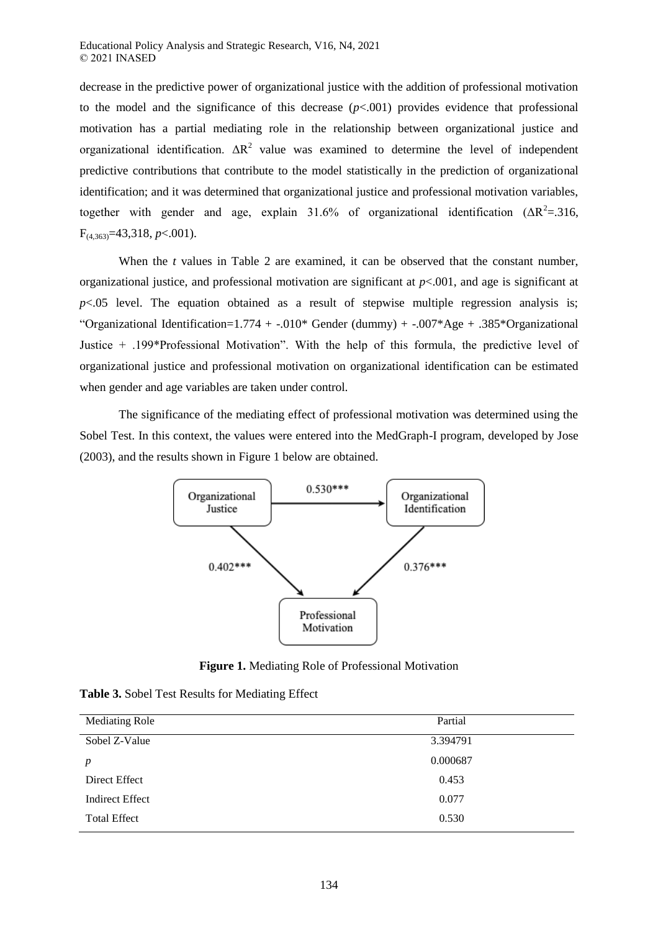decrease in the predictive power of organizational justice with the addition of professional motivation to the model and the significance of this decrease  $(p<.001)$  provides evidence that professional motivation has a partial mediating role in the relationship between organizational justice and organizational identification.  $\Delta R^2$  value was examined to determine the level of independent predictive contributions that contribute to the model statistically in the prediction of organizational identification; and it was determined that organizational justice and professional motivation variables, together with gender and age, explain 31.6% of organizational identification  $(AR^2=316,$ F(4,363)=43,318, *p*<.001).

When the *t* values in Table 2 are examined, it can be observed that the constant number, organizational justice, and professional motivation are significant at *p*<.001, and age is significant at  $p<.05$  level. The equation obtained as a result of stepwise multiple regression analysis is; "Organizational Identification= $1.774 + -0.010*$  Gender (dummy) +  $-0.007*$ Age + .385\*Organizational Justice + .199\*Professional Motivation". With the help of this formula, the predictive level of organizational justice and professional motivation on organizational identification can be estimated when gender and age variables are taken under control.

The significance of the mediating effect of professional motivation was determined using the Sobel Test. In this context, the values were entered into the MedGraph-I program, developed by Jose (2003), and the results shown in Figure 1 below are obtained.



**Figure 1.** Mediating Role of Professional Motivation

| Table 3. Sobel Test Results for Mediating Effect |  |  |  |
|--------------------------------------------------|--|--|--|
|--------------------------------------------------|--|--|--|

| Partial  |  |
|----------|--|
| 3.394791 |  |
| 0.000687 |  |
| 0.453    |  |
| 0.077    |  |
| 0.530    |  |
|          |  |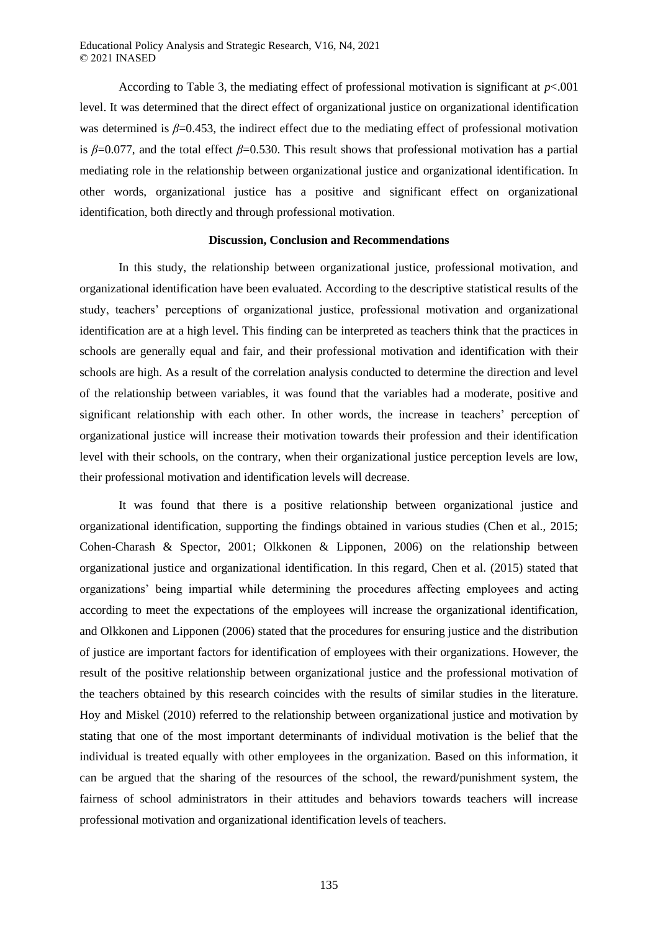According to Table 3, the mediating effect of professional motivation is significant at  $p < .001$ level. It was determined that the direct effect of organizational justice on organizational identification was determined is *β*=0.453, the indirect effect due to the mediating effect of professional motivation is *β*=0.077, and the total effect *β*=0.530. This result shows that professional motivation has a partial mediating role in the relationship between organizational justice and organizational identification. In other words, organizational justice has a positive and significant effect on organizational identification, both directly and through professional motivation.

## **Discussion, Conclusion and Recommendations**

In this study, the relationship between organizational justice, professional motivation, and organizational identification have been evaluated. According to the descriptive statistical results of the study, teachers' perceptions of organizational justice, professional motivation and organizational identification are at a high level. This finding can be interpreted as teachers think that the practices in schools are generally equal and fair, and their professional motivation and identification with their schools are high. As a result of the correlation analysis conducted to determine the direction and level of the relationship between variables, it was found that the variables had a moderate, positive and significant relationship with each other. In other words, the increase in teachers' perception of organizational justice will increase their motivation towards their profession and their identification level with their schools, on the contrary, when their organizational justice perception levels are low, their professional motivation and identification levels will decrease.

It was found that there is a positive relationship between organizational justice and organizational identification, supporting the findings obtained in various studies (Chen et al., 2015; Cohen-Charash & Spector, 2001; Olkkonen & Lipponen, 2006) on the relationship between organizational justice and organizational identification. In this regard, Chen et al. (2015) stated that organizations' being impartial while determining the procedures affecting employees and acting according to meet the expectations of the employees will increase the organizational identification, and Olkkonen and Lipponen (2006) stated that the procedures for ensuring justice and the distribution of justice are important factors for identification of employees with their organizations. However, the result of the positive relationship between organizational justice and the professional motivation of the teachers obtained by this research coincides with the results of similar studies in the literature. Hoy and Miskel (2010) referred to the relationship between organizational justice and motivation by stating that one of the most important determinants of individual motivation is the belief that the individual is treated equally with other employees in the organization. Based on this information, it can be argued that the sharing of the resources of the school, the reward/punishment system, the fairness of school administrators in their attitudes and behaviors towards teachers will increase professional motivation and organizational identification levels of teachers.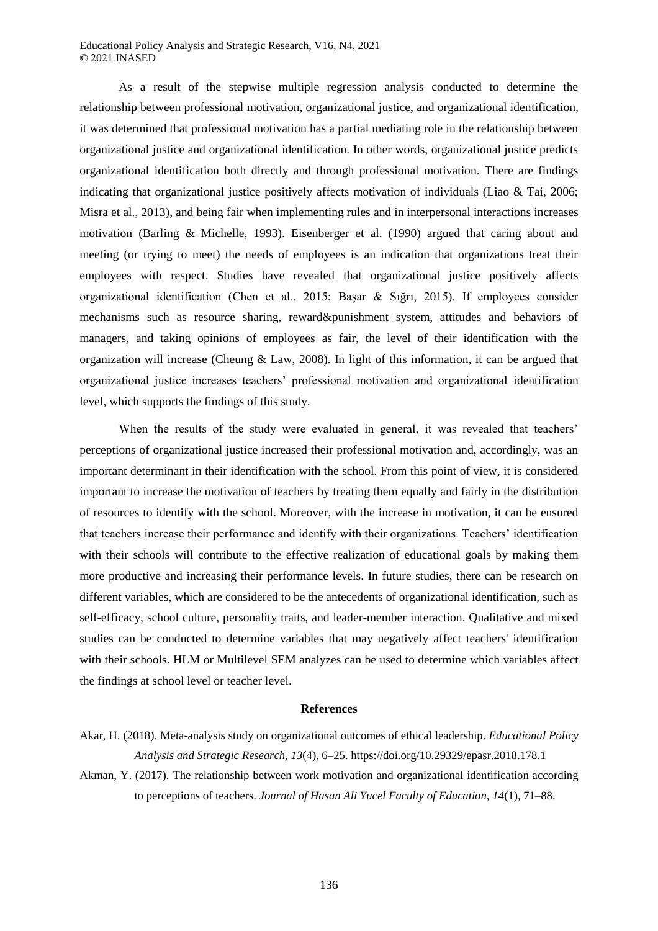As a result of the stepwise multiple regression analysis conducted to determine the relationship between professional motivation, organizational justice, and organizational identification, it was determined that professional motivation has a partial mediating role in the relationship between organizational justice and organizational identification. In other words, organizational justice predicts organizational identification both directly and through professional motivation. There are findings indicating that organizational justice positively affects motivation of individuals (Liao & Tai, 2006; Misra et al., 2013), and being fair when implementing rules and in interpersonal interactions increases motivation (Barling & Michelle, 1993). Eisenberger et al. (1990) argued that caring about and meeting (or trying to meet) the needs of employees is an indication that organizations treat their employees with respect. Studies have revealed that organizational justice positively affects organizational identification (Chen et al., 2015; Başar & Sığrı, 2015). If employees consider mechanisms such as resource sharing, reward&punishment system, attitudes and behaviors of managers, and taking opinions of employees as fair, the level of their identification with the organization will increase (Cheung & Law, 2008). In light of this information, it can be argued that organizational justice increases teachers' professional motivation and organizational identification level, which supports the findings of this study.

When the results of the study were evaluated in general, it was revealed that teachers' perceptions of organizational justice increased their professional motivation and, accordingly, was an important determinant in their identification with the school. From this point of view, it is considered important to increase the motivation of teachers by treating them equally and fairly in the distribution of resources to identify with the school. Moreover, with the increase in motivation, it can be ensured that teachers increase their performance and identify with their organizations. Teachers' identification with their schools will contribute to the effective realization of educational goals by making them more productive and increasing their performance levels. In future studies, there can be research on different variables, which are considered to be the antecedents of organizational identification, such as self-efficacy, school culture, personality traits, and leader-member interaction. Qualitative and mixed studies can be conducted to determine variables that may negatively affect teachers' identification with their schools. HLM or Multilevel SEM analyzes can be used to determine which variables affect the findings at school level or teacher level.

## **References**

- Akar, H. (2018). Meta-analysis study on organizational outcomes of ethical leadership. *Educational Policy Analysis and Strategic Research, 13*(4), 6–25. https://doi.org/10.29329/epasr.2018.178.1
- Akman, Y. (2017). The relationship between work motivation and organizational identification according to perceptions of teachers. *Journal of Hasan Ali Yucel Faculty of Education, 14*(1), 71–88.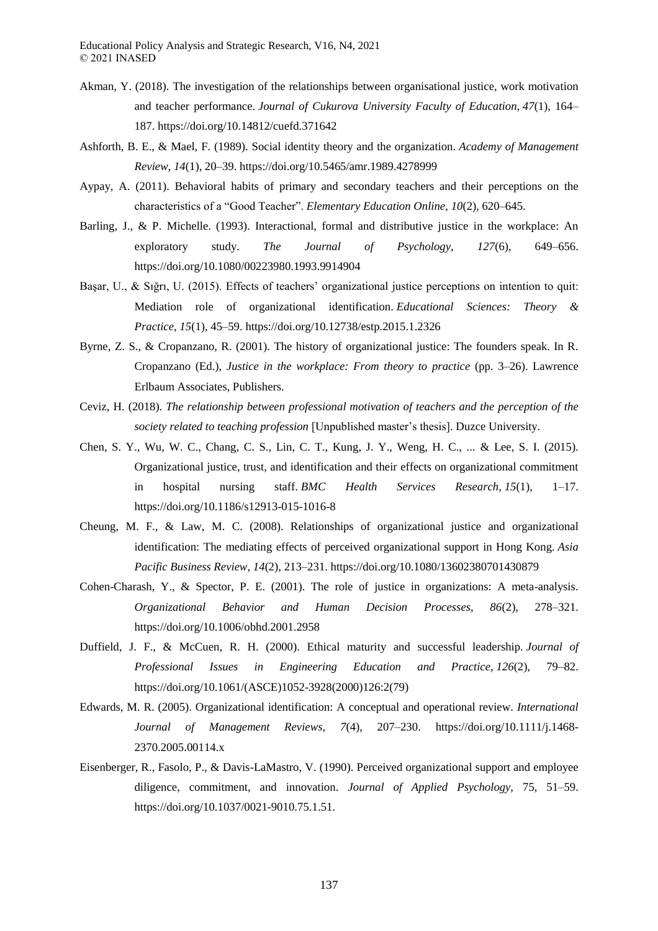- Akman, Y. (2018). The investigation of the relationships between organisational justice, work motivation and teacher performance. *Journal of Cukurova University Faculty of Education, 47*(1), 164– 187. https://doi.org/10.14812/cuefd.371642
- Ashforth, B. E., & Mael, F. (1989). Social identity theory and the organization. *Academy of Management Review*, *14*(1), 20–39. https://doi.org/10.5465/amr.1989.4278999
- Aypay, A. (2011). Behavioral habits of primary and secondary teachers and their perceptions on the characteristics of a "Good Teacher". *Elementary Education Online, 10*(2), 620–645.
- Barling, J., & P. Michelle. (1993). Interactional, formal and distributive justice in the workplace: An exploratory study. *The Journal of Psychology, 127*(6), 649–656. https://doi.org/10.1080/00223980.1993.9914904
- Başar, U., & Sığrı, U. (2015). Effects of teachers' organizational justice perceptions on intention to quit: Mediation role of organizational identification. *Educational Sciences: Theory & Practice*, *15*(1), 45–59. https://doi.org/10.12738/estp.2015.1.2326
- Byrne, Z. S., & Cropanzano, R. (2001). The history of organizational justice: The founders speak. In R. Cropanzano (Ed.), *Justice in the workplace: From theory to practice* (pp. 3–26). Lawrence Erlbaum Associates, Publishers.
- Ceviz, H. (2018). *The relationship between professional motivation of teachers and the perception of the society related to teaching profession* [Unpublished master's thesis]. Duzce University.
- Chen, S. Y., Wu, W. C., Chang, C. S., Lin, C. T., Kung, J. Y., Weng, H. C., ... & Lee, S. I. (2015). Organizational justice, trust, and identification and their effects on organizational commitment in hospital nursing staff. *BMC Health Services Research, 15*(1), 1–17. https://doi.org/10.1186/s12913-015-1016-8
- Cheung, M. F., & Law, M. C. (2008). Relationships of organizational justice and organizational identification: The mediating effects of perceived organizational support in Hong Kong. *Asia Pacific Business Review*, *14*(2), 213–231. https://doi.org/10.1080/13602380701430879
- Cohen-Charash, Y., & Spector, P. E. (2001). The role of justice in organizations: A meta-analysis. *Organizational Behavior and Human Decision Processes, 86*(2), 278–321. https://doi.org/10.1006/obhd.2001.2958
- Duffield, J. F., & McCuen, R. H. (2000). Ethical maturity and successful leadership. *Journal of Professional Issues in Engineering Education and Practice, 126*(2), 79–82. https://doi.org/10.1061/(ASCE)1052-3928(2000)126:2(79)
- Edwards, M. R. (2005). Organizational identification: A conceptual and operational review. *International Journal of Management Reviews, 7*(4), 207–230. https://doi.org/10.1111/j.1468- 2370.2005.00114.x
- Eisenberger, R., Fasolo, P., & Davis-LaMastro, V. (1990). Perceived organizational support and employee diligence, commitment, and innovation. *Journal of Applied Psychology,* 75, 51–59. https://doi.org/10.1037/0021-9010.75.1.51.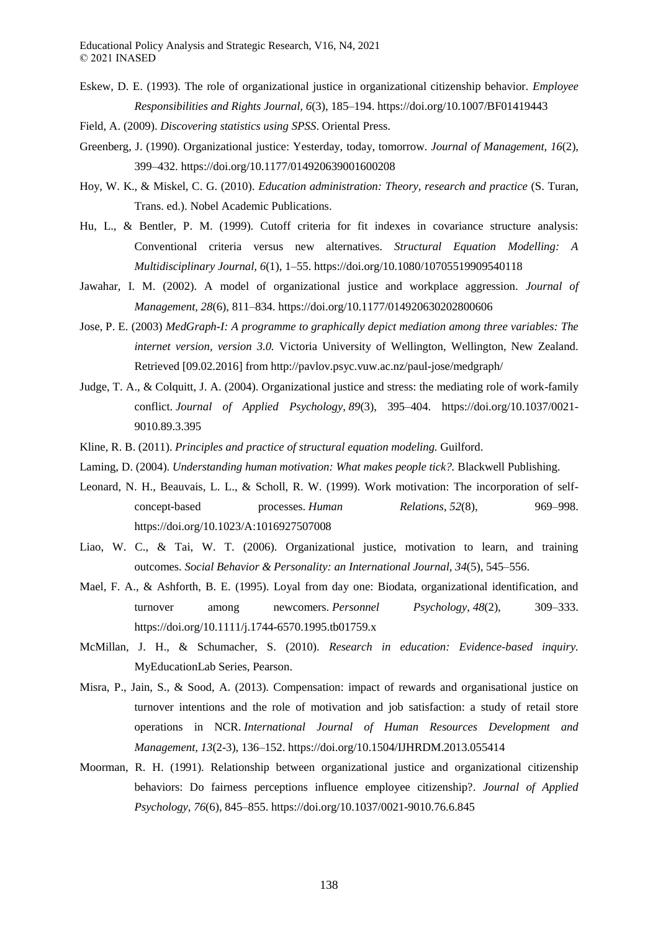- Eskew, D. E. (1993). The role of organizational justice in organizational citizenship behavior. *Employee Responsibilities and Rights Journal, 6*(3), 185–194. https://doi.org/10.1007/BF01419443
- Field, A. (2009). *Discovering statistics using SPSS*. Oriental Press.
- Greenberg, J. (1990). Organizational justice: Yesterday, today, tomorrow. *Journal of Management, 16*(2), 399–432. https://doi.org/10.1177/014920639001600208
- Hoy, W. K., & Miskel, C. G. (2010). *Education administration: Theory, research and practice* (S. Turan, Trans. ed.). Nobel Academic Publications.
- Hu, L., & Bentler, P. M. (1999). Cutoff criteria for fit indexes in covariance structure analysis: Conventional criteria versus new alternatives. *Structural Equation Modelling: A Multidisciplinary Journal, 6*(1), 1–55. https://doi.org/10.1080/10705519909540118
- Jawahar, I. M. (2002). A model of organizational justice and workplace aggression. *Journal of Management, 28*(6), 811–834. https://doi.org/10.1177/014920630202800606
- Jose, P. E. (2003) *MedGraph-I: A programme to graphically depict mediation among three variables: The internet version, version 3.0.* Victoria University of Wellington, Wellington, New Zealand. Retrieved [09.02.2016] from http://pavlov.psyc.vuw.ac.nz/paul-jose/medgraph/
- Judge, T. A., & Colquitt, J. A. (2004). Organizational justice and stress: the mediating role of work-family conflict. *Journal of Applied Psychology, 89*(3), 395–404. https://doi.org/10.1037/0021- 9010.89.3.395
- Kline, R. B. (2011). *Principles and practice of structural equation modeling.* Guilford.
- Laming, D. (2004). *Understanding human motivation: What makes people tick?.* Blackwell Publishing.
- Leonard, N. H., Beauvais, L. L., & Scholl, R. W. (1999). Work motivation: The incorporation of selfconcept-based processes. *Human Relations*, *52*(8), 969–998. https://doi.org/10.1023/A:1016927507008
- Liao, W. C., & Tai, W. T. (2006). Organizational justice, motivation to learn, and training outcomes. *Social Behavior & Personality: an International Journal, 34*(5), 545–556.
- Mael, F. A., & Ashforth, B. E. (1995). Loyal from day one: Biodata, organizational identification, and turnover among newcomers. *Personnel Psychology*, *48*(2), 309–333. https://doi.org/10.1111/j.1744-6570.1995.tb01759.x
- McMillan, J. H., & Schumacher, S. (2010). *Research in education: Evidence-based inquiry.* MyEducationLab Series, Pearson.
- Misra, P., Jain, S., & Sood, A. (2013). Compensation: impact of rewards and organisational justice on turnover intentions and the role of motivation and job satisfaction: a study of retail store operations in NCR. *International Journal of Human Resources Development and Management, 13*(2-3), 136–152. https://doi.org/10.1504/IJHRDM.2013.055414
- Moorman, R. H. (1991). Relationship between organizational justice and organizational citizenship behaviors: Do fairness perceptions influence employee citizenship?. *Journal of Applied Psychology, 76*(6), 845–855. https://doi.org/10.1037/0021-9010.76.6.845